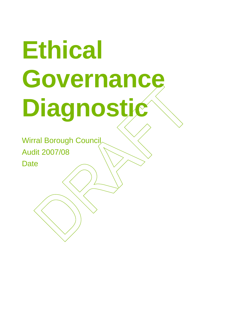# **Ethical Governance Diagnostic**

Wirral Borough Council Audit 2007/08 **Date**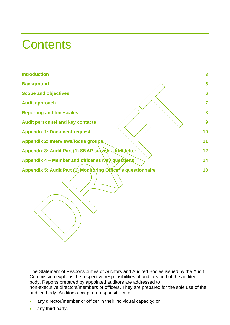### **Contents**

| <b>Introduction</b>                                           | $\overline{\mathbf{3}}$ |
|---------------------------------------------------------------|-------------------------|
| <b>Background</b>                                             | 5                       |
| <b>Scope and objectives</b>                                   | 6                       |
| <b>Audit approach</b>                                         | 7                       |
| <b>Reporting and timescales</b>                               | 8                       |
| <b>Audit personnel and key contacts</b>                       | 9                       |
| <b>Appendix 1: Document request</b>                           | 10                      |
| Appendix 2: Interviews/focus groups.                          | 11                      |
| Appendix 3: Audit Part (1) SNAP survey draft letter           | 12                      |
| Appendix 4 - Member and officer survey questions              | 14                      |
| Appendix 5: Audit Part (1) Monitoring Officer's questionnaire | 18                      |
|                                                               |                         |

The Statement of Responsibilities of Auditors and Audited Bodies issued by the Audit Commission explains the respective responsibilities of auditors and of the audited body. Reports prepared by appointed auditors are addressed to non-executive directors/members or officers. They are prepared for the sole use of the audited body. Auditors accept no responsibility to:

- any director/member or officer in their individual capacity; or
- any third party.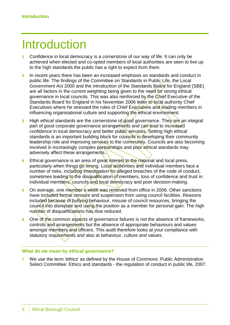### Introduction

- **1** Confidence in local democracy is a cornerstone of our way of life. It can only be achieved when elected and co-opted members of local authorities are seen to live up to the high standards the public has a right to expect from them.
- **2** In recent years there has been an increased emphasis on standards and conduct in public life. The findings of the Committee on Standards in Public Life, the Local Government Act 2000 and the introduction of the Standards Board for England (SBE) are all factors in the current weighting being given to the need for strong ethical governance in local councils. This was also reinforced by the Chief Executive of the Standards Board for England in his November 2006 letter to local authority Chief Executives where he stressed the roles of Chief Executives and leading members in influencing organisational culture and supporting the ethical environment.
- **3** High ethical standards are the cornerstone of good governance. The vare an integral part of good corporate governance arrangements and can lead to increased confidence in local democracy and better public services. Setting high ethical standards is an important building block for councils in developing their community leadership role and improving services to the community. Councils are also becoming involved in increasingly complex partnerships and poor ethical standards may adversely affect these arrangements.
- **4** Ethical governance is an area of great interest to the national and local press, particularly when things go wrong. Local authorities and individual members face a number of risks, including investigation for alleged breaches of the code of conduct, sometimes leading to the disqualification of members, loss of confidence and trust in individual members, councils and local democracy and poor decision-making.
- **5** On average, one member a week was removed from office in 2006. Other sanctions have included formal censure and suspension from using council facilities. Reasons included because of bullying behaviour, misuse of council resources, bringing the council into disrepute and using the position as a member for personal gain. The high number of disqualifications has now reduced.
- **6** One of the common aspects of governance failures is not the absence of frameworks, controls and arrangements but the absence of appropriate behaviours and values amongst members and officers. This audit therefore looks at your compliance with statutory requirements and also at behaviour, culture and values.

#### **What do we mean by ethical governance?**

**7** We use the term 'ethics' as defined by the House of Commons: Public Administration Select Committee: Ethics and standards - the regulation of conduct in public life, 2007.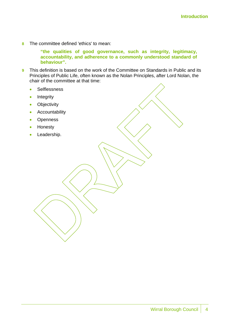**8** The committee defined 'ethics' to mean:

**"the qualities of good governance, such as integrity, legitimacy, accountability, and adherence to a commonly understood standard of behaviour".** 

- **9** This definition is based on the work of the Committee on Standards in Public and its Principles of Public Life, often known as the Nolan Principles, after Lord Nolan, the chair of the committee at that time:
	- Selflessness
	- Integrity
	- Objectivity
	- Accountability
	- Openness
	- Honesty
	- Leadership.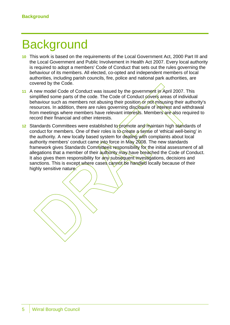### **Background**

- **10** This work is based on the requirements of the Local Government Act, 2000 Part III and the Local Government and Public Involvement in Health Act 2007. Every local authority is required to adopt a members' Code of Conduct that sets out the rules governing the behaviour of its members. All elected, co-opted and independent members of local authorities, including parish councils, fire, police and national park authorities, are covered by the Code.
- 11 A new model Code of Conduct was issued by the government in April 2007. This simplified some parts of the code. The Code of Conduct covers areas of individual behaviour such as members not abusing their position or pot misusing their authority's resources. In addition, there are rules governing disclosure of interest and withdrawal from meetings where members have relevant interests. Members are also required to record their financial and other interests.
- 12 Standards Committees were established to promote and maintain high standards of conduct for members. One of their roles is to create a sense of 'ethical well-being' in the authority. A new locally based system for dealing with complaints about local authority members' conduct came into force in May 2008. The new standards framework gives Standards Committees responsibility for the initial assessment of all allegations that a member of their authority may have breached the Code of Conduct. It also gives them responsibility for  $\frac{\partial n}{\partial y}$  subsequent investigations, decisions and sanctions. This is except where cases cannot be handled locally because of their highly sensitive nature.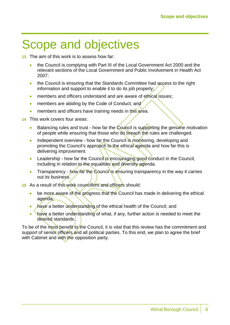### Scope and objectives

- **13** The aim of this work is to assess how far:
	- the Council is complying with Part III of the Local Government Act 2000 and the relevant sections of the Local Government and Public Involvement in Health Act 2007;
	- the Council is ensuring that the Standards Committee had access to the right information and support to enable it to do its job properly;
	- members and officers understand and are aware of ethical issues;
	- members are abiding by the Code of Conduct; and
	- members and officers have training needs in this area.
- **14** This work covers four areas:
	- Balancing rules and trust how far the Council is supporting the genumne motivation of people while ensuring that those who do breach the rules are challenged.
	- Independent overview how far the Council is monitoring, developing and promoting the Council's approach to the ethical agenda and how far this is delivering improvement.
	- Leadership how far the Council is encouraging good conduct in the Council, including in relation to the equalities and diversity agenda.
	- Transparency how far the Council is ensuring transparency in the way it carries out its business.
- **15** As a result of this work councillors and officers should:
	- be more aware of the progress that the Council has made in delivering the ethical agenda;
	- have a better understanding of the ethical health of the Council; and
	- have a better understanding of what, if any, further action is needed to meet the desired standards.

To be of the most benefit to the Council, it is vital that this review has the commitment and support of senior officers and all political parties. To this end, we plan to agree the brief with Cabinet and with the opposition party.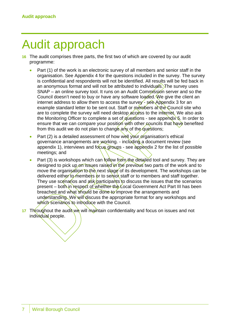### Audit approach

- **16** The audit comprises three parts, the first two of which are covered by our audit programme:
	- Part (1) of the work is an electronic survey of all members and senior staff in the organisation. See Appendix 4 for the questions included in the survey. The survey is confidential and respondents will not be identified. All results will be fed back in an anonymous format and will not be attributed to individuals. The survey uses SNAP – an online survey tool. It runs on an Audit Commission server and so the Council doesn't need to buy or have any software loaded. We give the client an internet address to allow them to access the survey -  $see$  Appendix 3 for an example standard letter to be sent out. Staff or members at the Council site who are to complete the survey will need desktop access to the internet. We also ask the Monitoring Officer to complete a set of guestions - see appendix  $\frac{1}{2}$ . In order to ensure that we can compare your position with other councils that have benefited from this audit we do not plan to change any of the questions;
	- Part (2) is a detailed assessment of how well your organisation's ethical governance arrangements are working. - including a document review (see appendix 1), interviews and focus groups - see appendix 2 for the list of possible meetings; and
	- Part (3) is workshops which can follow from the detailed tool and survey. They are designed to pick up on issues raised in the previous two parts of the work and to move the organisation to the next stage of its development. The workshops can be delivered either to members or to senior staff or to members and staff together. They use scenarios and  $a$ sk/participants to discuss the issues that the scenarios present – both in respect of whether the Local Government Act Part III has been breached and what should be done to improve the arrangements and understanding. We will discuss the appropriate format for any workshops and which scenarios to introduce with the Council.
- **17** Throughout the audit we will maintain confidentiality and focus on issues and not individual people.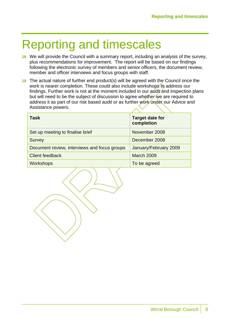### Reporting and timescales

- **18** We will provide the Council with a summary report, including an analysis of the survey, plus recommendations for improvement. The report will be based on our findings following the electronic survey of members and senior officers, the document review, member and officer interviews and focus groups with staff.
- **19** The actual nature of further end product(s) will be agreed with the Council once the work is nearer completion. These could also include workshops to address our findings. Further work is not at the moment included in our  $\frac{1}{4}$  and inspection plans but will need to be the subject of discussion to agree whether we are required to address it as part of our risk based audit or as further work ûnder our Advice and Assistance powers.

| Task                                         | <b>Target date for</b><br>completion |
|----------------------------------------------|--------------------------------------|
| Set up meeting to finalise brief             | November 2008                        |
| Survey                                       | December 2008                        |
| Document review, interviews and focus groups | January/February 2009                |
| <b>Client feedback</b>                       | <b>March 2009</b>                    |
| Workshops                                    | To be agreed                         |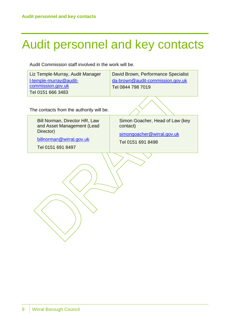# Audit personnel and key contacts

Audit Commission staff involved in the work will be.

| Liz Temple-Murray, Audit Manager | David Brown, Performance Specialist |
|----------------------------------|-------------------------------------|
| I-temple-murray@audit-           | da-brown@audit-commission.gov.uk    |
| commission.gov.uk                | Tel 0844 798 7019                   |
| $\sqrt{$ Tel 0151 666 3483       |                                     |

The contacts from the authority will be.

Bill Norman, Director HR, Law and Asset Management (Lead Director)

billnorman@wirral.gov.uk

Tel 0151 691 8497

Simon Goacher, Head of Law (key contact)

simongoacher@wirral.gov.uk

Tel 0151 691 8498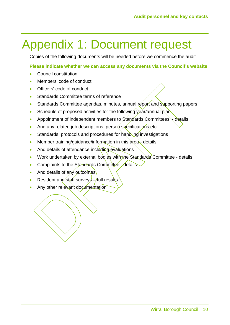# Appendix 1: Document request

Copies of the following documents will be needed before we commence the audit

#### **Please indicate whether we can access any documents via the Council's website**

- Council constitution
- Members' code of conduct
- Officers' code of conduct
- Standards Committee terms of reference
- Standards Committee agendas, minutes, annual report and supporting papers
- Schedule of proposed activities for the following year/annual plan
- Appointment of independent members to Standards Committees  $\cdot$  details
- And any related job descriptions, person specifications etc
- Standards, protocols and procedures for handling investigations
- Member training/guidance/information in this  $\text{area}_z$  details
- And details of attendance including evaluations
- Work undertaken by external bodies with the Standards Committee details
- Complaints to the Standards Committee details
- And details of any outcomes
- Resident and staff surveys  $-\frac{1}{x}$  results
- Any other relevant documentation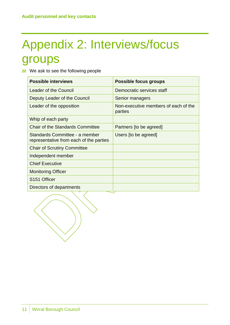# Appendix 2: Interviews/focus groups

**20** We ask to see the following people

| <b>Possible interviews</b>                                                | <b>Possible focus groups</b>                    |
|---------------------------------------------------------------------------|-------------------------------------------------|
| <b>Leader of the Council</b>                                              | Democratic services staff                       |
| Deputy Leader of the Council                                              | Senior managers                                 |
| Leader of the opposition                                                  | Non-executive members of each of the<br>parties |
| Whip of each party                                                        |                                                 |
| <b>Chair of the Standards Committee</b>                                   | Partners [to be agreed]                         |
| Standards Committee - a member<br>representative from each of the parties | Users [to be agreed]                            |
| <b>Chair of Scrutiny Committee</b>                                        |                                                 |
| Independent member                                                        |                                                 |
| <b>Chief Executive</b>                                                    |                                                 |
| <b>Monitoring Officer</b>                                                 |                                                 |
| S <sub>151</sub> Officer                                                  |                                                 |
| Directors of departments                                                  |                                                 |

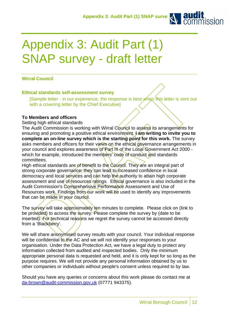

# Appendix 3: Audit Part (1) SNAP survey - draft letter

#### **Wirral Council**

#### **Ethical standards self-assessment survey**

[Sample letter - in our experience, the response is best when this letter is sent out with a covering letter by the Chief Executive]

#### **To Members and officers**

Setting high ethical standards

The Audit Commission is working with Wirral Council to assess its arrangements for ensuring and promoting a positive ethical environment. *Lam* writing to invite you to complete an on-line survey which is the starting point for this work. The survey asks members and officers for their views on the ethical governance arrangements in your council and explores awareness of Part III of the Local Government Act 2000 which for example, introduced the members' code of conduct and standards committees.

High ethical standards are of benefit to the Council. They are an integral part of strong corporate governance; they can lead to increased confidence in local democracy and local services and can help the authority to attain high corporate assessment and use of resources ratings. Ethical governance is also included in the Audit Commission's Comprehensive Performance Assessment and Use of Resources work. Findings from our work will be used to identify any improvements that can be made in your council.

The survey will take approximately ten minutes to complete. Please click on (link to be provided) to access the survey. Please complete the survey by (date to be inserted). For technical reasons we regret the survey cannot be accessed directly from a 'Blackberry'.

We will share anonymised survey results with your council. Your individual response will be confidential to the AC and we will not identify your responses to your organisation. Under the Data Protection Act, we have a legal duty to protect any information collected from audited and inspected bodies. Only the minimum appropriate personal data is requested and held, and it is only kept for so long as the purpose requires. We will not provide any personal information obtained by us to other companies or individuals without people's consent unless required to by law.

Should you have any queries or concerns about this work please do contact me at da-brown@audit-commission.gov,uk (07771 943375).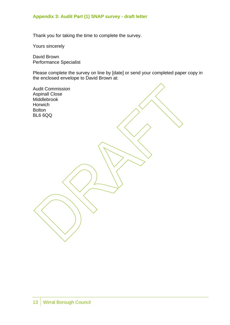#### **Appendix 3: Audit Part (1) SNAP survey - draft letter**

Thank you for taking the time to complete the survey.

Yours sincerely

David Brown Performance Specialist

Please complete the survey on line by [date] or send your completed paper copy in the enclosed envelope to David Brown at:

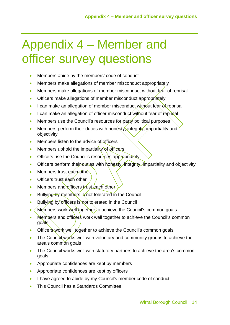# Appendix 4 – Member and officer survey questions

- Members abide by the members' code of conduct
- Members make allegations of member misconduct appropriately
- Members make allegations of member misconduct without fear of reprisal
- Officers make allegations of member misconduct appropriately
- I can make an allegation of member misconduct without fear of reprisal
- I can make an allegation of officer misconduct without fear of reprisal
- Members use the Council's resources for party political purposes
- Members perform their duties with honesty, integrity, impartiality and objectivity
- Members listen to the advice of officers
- Members uphold the impartiality of officers
- Officers use the Council's resources appropriately
- Officers perform their duties with  $h$  onesty, integrity, impartiality and objectivity
- Members trust each other
- Officers trust  $\epsilon$ ach other
- Members and officers trust each other
- Bullying by members is not tolerated in the Council
- Bullying by officers is not tolerated in the Council
- Members work well together to achieve the Council's common goals
- Members and officers work well together to achieve the Council's common goals
- Officers work well together to achieve the Council's common goals
- The Council works well with voluntary and community groups to achieve the area's common goals
- The Council works well with statutory partners to achieve the area's common goals
- Appropriate confidences are kept by members
- Appropriate confidences are kept by officers
- I have agreed to abide by my Council's member code of conduct
- This Council has a Standards Committee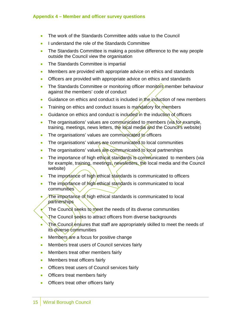- The work of the Standards Committee adds value to the Council
- I understand the role of the Standards Committee
- The Standards Committee is making a positive difference to the way people outside the Council view the organisation
- The Standards Committee is impartial
- Members are provided with appropriate advice on ethics and standards
- Officers are provided with appropriate advice on ethics and standards
- The Standards Committee or monitoring officer monitors member behaviour against the members' code of conduct
- Guidance on ethics and conduct is included in the induction of new members
- Training on ethics and conduct issues is mandatory for members
- Guidance on ethics and conduct is included in the induction of officers
- The organisations' values are communicated to members (via for example, training, meetings, news letters, the local media and the Council's website)
- The organisations' values are communicated to officers
- The organisations' values are communicated to local communities
- The organisations' values are communicated to local partnerships
- The importance of high ethical standards is communicated to members (via for example, training, meetings, newsletters, the local media and the Council website)
- The importance of high ethical standards is communicated to officers
- The importance of  $M$  g  $\mu$  ethical standards is communicated to local communities
- The importance of high ethical standards is communicated to local **partnerships** 
	- The Council seeks to meet the needs of its diverse communities
	- The Council seeks to attract officers from diverse backgrounds
- The Council ensures that staff are appropriately skilled to meet the needs of its diverse communities
- Members are a focus for positive change
- Members treat users of Council services fairly
- Members treat other members fairly
- Members treat officers fairly
- Officers treat users of Council services fairly
- Officers treat members fairly
- Officers treat other officers fairly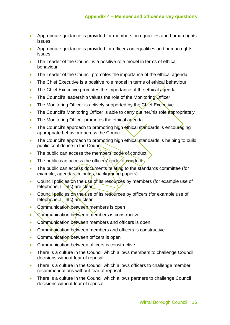- Appropriate guidance is provided for members on equalities and human rights issues
- Appropriate guidance is provided for officers on equalities and human rights issues
- The Leader of the Council is a positive role model in terms of ethical behaviour
- The Leader of the Council promotes the importance of the ethical agenda
- The Chief Executive is a positive role model in terms of ethical behaviour
- The Chief Executive promotes the importance of the ethical agenda
- The Council's leadership values the role of the Monitoring Officer
- The Monitoring Officer is actively supported by the Chief Executive
- The Council's Monitoring Officer is able to carry out her/his role appropriately
- The Monitoring Officer promotes the ethical agenda
- The Council's approach to promoting high ethical standards is encouraging appropriate behaviour across the Council
- The Council's approach to promoting high ethical standards is helping to build public confidence in the Council
- The public can access the members' code of conduct
- The public can access the officers' code of conduct
- The public can access documents relating to the standards committee (for example, agendas, minutes, background papers)
- Council policies on the use of its resources by members (for example use of telephone, IT etc) are clear
- Council policies on the use of its resources by officers (for example use of telephone, IT etc) are clear
- Communication between members is open
- Communication between members is constructive
- Communication between members and officers is open
- Communication between members and officers is constructive
- Communication between officers is open
- Communication between officers is constructive
- There is a culture in the Council which allows members to challenge Council decisions without fear of reprisal
- There is a culture in the Council which allows officers to challenge member recommendations without fear of reprisal
- There is a culture in the Council which allows partners to challenge Council decisions without fear of reprisal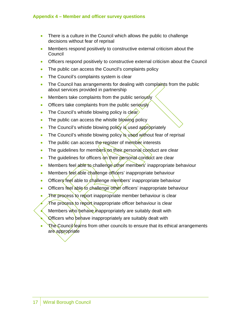- There is a culture in the Council which allows the public to challenge decisions without fear of reprisal
- Members respond positively to constructive external criticism about the Council
- Officers respond positively to constructive external criticism about the Council
- The public can access the Council's complaints policy
- The Council's complaints system is clear
- The Council has arrangements for dealing with complaints from the public about services provided in partnership
- Members take complaints from the public seriously
- Officers take complaints from the public seriously
- The Council's whistle blowing policy is clear
- The public can access the whistle blowing policy
- The Council's whistle blowing policy is used appropriately
- The Council's whistle blowing policy is used without fear of reprisal
- The public can access the register of member interests
- The quidelines for members on their personal conduct are clear
- The guidelines for officers on their personal conduct are clear
- Members feel able to challenge  $of$  members' inappropriate behaviour
- Members feel able challenge officers' inappropriate behaviour
- Officers feel able to challenge members' inappropriate behaviour
- Officers feel able to challenge other officers' inappropriate behaviour
- The process to report inappropriate member behaviour is clear
- The process to report inappropriate officer behaviour is clear
- Members who behave inappropriately are suitably dealt with
- Officers who behave inappropriately are suitably dealt with
- The Council learns from other councils to ensure that its ethical arrangements are appropriate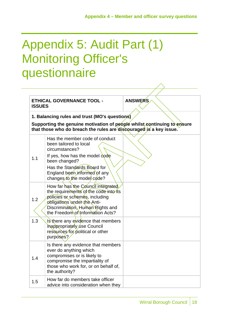### Appendix 5: Audit Part (1) Monitoring Officer's questionnaire

| <b>ISSUES</b>                                                                                                                                                                                  | <b>ETHICAL GOVERNANCE TOOL -</b>                                                                                                                                                                                           | <b>ANSWERS</b> |
|------------------------------------------------------------------------------------------------------------------------------------------------------------------------------------------------|----------------------------------------------------------------------------------------------------------------------------------------------------------------------------------------------------------------------------|----------------|
| 1. Balancing rules and trust (MO's questions)<br>Supporting the genuine motivation of people whilst continuing to ensure<br>that those who do breach the rules are discouraged is a key issue. |                                                                                                                                                                                                                            |                |
| 1.1                                                                                                                                                                                            | Has the member code of conduct<br>been tailored to local<br>circumstances?<br>If yes, how has the model code<br>been changed?<br>Has the Standards Board for<br>England been informed of any<br>changes to the model code? |                |
| 1.2                                                                                                                                                                                            | How far has the Council integrated<br>the requirements of the code into its<br>policies or schemes, including<br>obligations under the Anti-<br>Discrimination, Human Rights and<br>the Freedom of Information Acts?       |                |
| 1.3                                                                                                                                                                                            | Is there any evidence that members<br>inappropriately use Council<br>resources for political or other<br>purposes?                                                                                                         |                |
| 1.4                                                                                                                                                                                            | Is there any evidence that members<br>ever do anything which<br>compromises or is likely to<br>compromise the impartiality of<br>those who work for, or on behalf of,<br>the authority?                                    |                |
| 1.5                                                                                                                                                                                            | How far do members take officer<br>advice into consideration when they                                                                                                                                                     |                |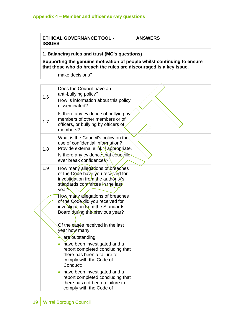| <b>ETHICAL GOVERNANCE TOOL -</b><br><b>ISSUES</b> | <b>ANSWERS</b> |  |  |
|---------------------------------------------------|----------------|--|--|
| 1. Balancing rules and trust (MO's questions)     |                |  |  |
|                                                   |                |  |  |

**Supporting the genuine motivation of people whilst continuing to ensure that those who do breach the rules are discouraged is a key issue.** 

make decisions?

|  | 1.6 | Does the Council have an<br>anti-bullying policy?<br>How is information about this policy<br>disseminated?                                                                                         |  |
|--|-----|----------------------------------------------------------------------------------------------------------------------------------------------------------------------------------------------------|--|
|  | 1.7 | Is there any evidence of bullying by<br>members of other members or of<br>officers, or bullying by officers of<br>members?                                                                         |  |
|  | 1.8 | What is the Council's policy on the<br>use of confidential information?<br>Provide external elink if appropriate.<br>Is there any evidence that councillor<br>ever break confidences?              |  |
|  | 1.9 | How many allegations of breaches<br>of the Code have you received for<br>investigation from the authority's<br>standards committee in the last<br>year?                                            |  |
|  |     | How many allegations of breaches<br>of the Code did you received for<br>investigation from the Standards<br>Board during the previous year?<br>Of the cases received in the last<br>year how many: |  |
|  |     | are outstanding;<br>have been investigated and a<br>report completed concluding that<br>there has been a failure to<br>comply with the Code of<br>Conduct;                                         |  |
|  |     | have been investigated and a<br>$\bullet$<br>report completed concluding that<br>there has not been a failure to<br>comply with the Code of                                                        |  |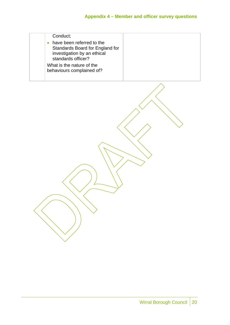| Conduct:                                                                                                          |  |
|-------------------------------------------------------------------------------------------------------------------|--|
| have been referred to the<br>Standards Board for England for<br>investigation by an ethical<br>standards officer? |  |
| What is the nature of the<br>behaviours complained of?                                                            |  |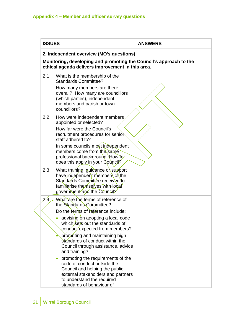| <b>ISSUES</b> |                                                                                                                                                                                                                                                                                                                                                                                                                                                                                                                       | <b>ANSWERS</b> |  |
|---------------|-----------------------------------------------------------------------------------------------------------------------------------------------------------------------------------------------------------------------------------------------------------------------------------------------------------------------------------------------------------------------------------------------------------------------------------------------------------------------------------------------------------------------|----------------|--|
|               | 2. Independent overview (MO's questions)<br>Monitoring, developing and promoting the Council's approach to the<br>ethical agenda delivers improvement in this area.                                                                                                                                                                                                                                                                                                                                                   |                |  |
| 2.1           | What is the membership of the<br><b>Standards Committee?</b><br>How many members are there<br>overall? How many are councillors<br>(which parties), independent<br>members and parish or town<br>councillors?                                                                                                                                                                                                                                                                                                         |                |  |
| 2.2           | How were independent members<br>appointed or selected?<br>How far were the Council's<br>recruitment procedures for senior<br>staff adhered to?<br>In some councils most independent<br>members come from the same<br>professional background. How far<br>does this apply in your Council?                                                                                                                                                                                                                             |                |  |
| 2.3           | What training, guidance or support<br>have independent members of the<br>Standards Committee received to<br>familiarise themselves with local<br>government and the Council?                                                                                                                                                                                                                                                                                                                                          |                |  |
| 2'4           | What are the terms of reference of<br>the Standards Committee?<br>Do the terms of reference include:<br>advising on adopting a local code<br>which sets out the standards of<br>conduct expected from members?<br>promoting and maintaining high<br>standards of conduct within the<br>Council through assistance, advice<br>and training?<br>promoting the requirements of the<br>code of conduct outside the<br>Council and helping the public,<br>external stakeholders and partners<br>to understand the required |                |  |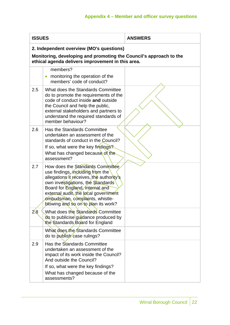| <b>ISSUES</b> |                                                                                                                                                                                                                                                                                                            | <b>ANSWERS</b> |
|---------------|------------------------------------------------------------------------------------------------------------------------------------------------------------------------------------------------------------------------------------------------------------------------------------------------------------|----------------|
|               | 2. Independent overview (MO's questions)<br>Monitoring, developing and promoting the Council's approach to the<br>ethical agenda delivers improvement in this area.                                                                                                                                        |                |
|               | members?<br>monitoring the operation of the<br>$\bullet$<br>members' code of conduct?                                                                                                                                                                                                                      |                |
| 2.5           | What does the Standards Committee<br>do to promote the requirements of the<br>code of conduct inside and outside<br>the Council and help the public,<br>external stakeholders and partners to<br>understand the required standards of<br>member behaviour?                                                 |                |
| 2.6           | Has the Standards Committee<br>undertaken an assessment of the<br>standards of conduct in the Council?<br>If so, what were the key findings?<br>What has changed because of the<br>assessment?                                                                                                             |                |
| 2.7           | How does the Standards Committée<br>use findings, including from the<br>allegations it receives, the authority's<br>own investigations, the Standards<br>Board for England, internal and<br>external audit, the local government<br>ombudsman, complaints, whistle-<br>blowing and so on to plan its work? |                |
| 2.8           | What does the Standards Committee<br>do to publicise guidance produced by<br>the Standards Board for England                                                                                                                                                                                               |                |
|               | What does the Standards Committee<br>do to publish case rulings?                                                                                                                                                                                                                                           |                |
| 2.9           | Has the Standards Committee<br>undertaken an assessment of the<br>impact of its work inside the Council?<br>And outside the Council?                                                                                                                                                                       |                |
|               | If so, what were the key findings?<br>What has changed because of the<br>assessments?                                                                                                                                                                                                                      |                |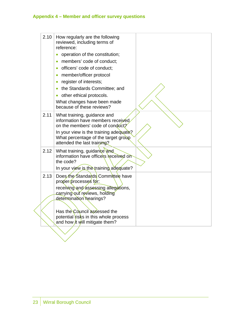|  | 2.10 | How regularly are the following<br>reviewed, including terms of<br>reference:<br>operation of the constitution;<br>members' code of conduct;<br>officers' code of conduct;<br>$\bullet$<br>member/officer protocol<br>$\bullet$<br>register of interests;<br>$\bullet$<br>the Standards Committee; and<br>$\bullet$<br>other ethical protocols.<br>What changes have been made<br>because of these reviews? |  |
|--|------|-------------------------------------------------------------------------------------------------------------------------------------------------------------------------------------------------------------------------------------------------------------------------------------------------------------------------------------------------------------------------------------------------------------|--|
|  | 2.11 | What training, guidance and<br>information have members received<br>on the members' code of conduct?<br>In your view is the training adequate?<br>What percentage of the target group<br>attended the last training?                                                                                                                                                                                        |  |
|  | 2.12 | What training, guidance and<br>information have officers received on<br>the code?<br>In your view is the training adequate?                                                                                                                                                                                                                                                                                 |  |
|  | 2.13 | Does the Standards Committee have<br>proper processes for:<br>receiving and assessing allegations,<br>carrying out reviews, holding<br>determination hearings?<br>Has the Council assessed the                                                                                                                                                                                                              |  |
|  |      | potential risks in this whole process<br>and how it will mitigate them?                                                                                                                                                                                                                                                                                                                                     |  |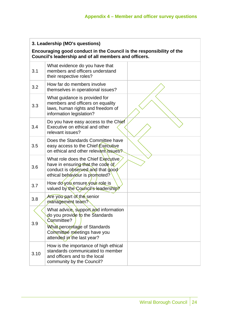| 3. Leadership (MO's questions)                                                                                                |                                                                                                                                                                                    |  |  |
|-------------------------------------------------------------------------------------------------------------------------------|------------------------------------------------------------------------------------------------------------------------------------------------------------------------------------|--|--|
| Encouraging good conduct in the Council is the responsibility of the<br>Council's leadership and of all members and officers. |                                                                                                                                                                                    |  |  |
| 3.1                                                                                                                           | What evidence do you have that<br>members and officers understand<br>their respective roles?                                                                                       |  |  |
| 3.2                                                                                                                           | How far do members involve<br>themselves in operational issues?                                                                                                                    |  |  |
| 3.3                                                                                                                           | What guidance is provided for<br>members and officers on equality<br>laws, human rights and freedom of<br>information legislation?                                                 |  |  |
| 3.4                                                                                                                           | Do you have easy access to the Chief<br>Executive on ethical and other<br>relevant issues?                                                                                         |  |  |
| 3.5                                                                                                                           | Does the Standards Committee have<br>easy access to the Chief Executive<br>on ethical and other relevant issues?                                                                   |  |  |
| 3.6                                                                                                                           | What role does the Chief Executive<br>have in ensuring that the code of<br>conduct is observed and that good<br>ethical behaviour is promoted?                                     |  |  |
| 3.7                                                                                                                           | How do you ensure your role is<br>valued by the Council's leadership?                                                                                                              |  |  |
| 3.8                                                                                                                           | Are you part of the senior<br>management team?                                                                                                                                     |  |  |
| 3.9                                                                                                                           | What advice, support and information<br>do you provide to the Standards<br>Committee?<br>What percentage of Standards<br>Committee meetings have you<br>attended in the last year? |  |  |
| 3.10                                                                                                                          | How is the importance of high ethical<br>standards communicated to member<br>and officers and to the local<br>community by the Council?                                            |  |  |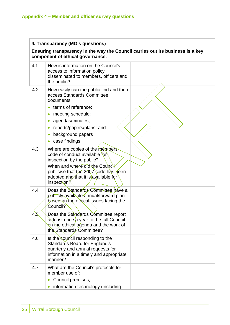| 4. Transparency (MO's questions) |                                                                                                                                                                                                                                  |  |  |
|----------------------------------|----------------------------------------------------------------------------------------------------------------------------------------------------------------------------------------------------------------------------------|--|--|
|                                  | Ensuring transparency in the way the Council carries out its business is a key<br>component of ethical governance.                                                                                                               |  |  |
| 4.1                              | How is information on the Council's<br>access to information policy<br>disseminated to members, officers and<br>the public?                                                                                                      |  |  |
| 4.2                              | How easily can the public find and then<br>access Standards Committee<br>documents:                                                                                                                                              |  |  |
|                                  | terms of reference;                                                                                                                                                                                                              |  |  |
|                                  | meeting schedule;                                                                                                                                                                                                                |  |  |
|                                  | agendas/minutes;                                                                                                                                                                                                                 |  |  |
|                                  | reports/papers/plans; and                                                                                                                                                                                                        |  |  |
|                                  | background papers                                                                                                                                                                                                                |  |  |
|                                  | case findings                                                                                                                                                                                                                    |  |  |
| 4.3                              | Where are copies of the members'<br>code of conduct available for<br>inspection by the public?<br>When and where did the Council<br>publicise that the 2007 code has been<br>adopted and that it is available for<br>inspection? |  |  |
| 4.4                              | Does the Standards Committee have a<br>publicly available annual/forward plan<br>based on the ethical issues facing the<br>Council?                                                                                              |  |  |
| 4.5                              | Does the Standards Committee report<br>at least once a year to the full Council<br>on the ethical agenda and the work of<br>the Standards Committee?                                                                             |  |  |
| 4.6                              | Is the council responding to the<br>Standards Board for England's<br>quarterly and annual requests for<br>information in a timely and appropriate<br>manner?                                                                     |  |  |
| 4.7                              | What are the Council's protocols for<br>member use of:                                                                                                                                                                           |  |  |
|                                  | Council premises;                                                                                                                                                                                                                |  |  |
|                                  | information technology (including                                                                                                                                                                                                |  |  |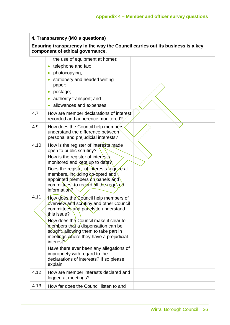### **4. Transparency (MO's questions)**

#### **Ensuring transparency in the way the Council carries out its business is a key component of ethical governance.**

|      | the use of equipment at home);<br>telephone and fax;<br>$\bullet$<br>photocopying;<br>$\bullet$<br>stationery and headed writing<br>$\bullet$<br>paper;<br>postage;<br>$\bullet$<br>authority transport; and<br>0<br>allowances and expenses.                                                                                                                                                                                                            |  |
|------|----------------------------------------------------------------------------------------------------------------------------------------------------------------------------------------------------------------------------------------------------------------------------------------------------------------------------------------------------------------------------------------------------------------------------------------------------------|--|
| 4.7  | How are member declarations of interest<br>recorded and adherence monitored?                                                                                                                                                                                                                                                                                                                                                                             |  |
| 4.9  | How does the Council help members.<br>understand the difference between<br>personal and prejudicial interests?                                                                                                                                                                                                                                                                                                                                           |  |
| 4.10 | How is the register of interests made<br>open to public scrutiny?<br>How is the register of interests<br>monitored and kept up to date?<br>Does the register of interests require all<br>members, including co-opted and<br>appointed members on panels and<br>committees, to record all the required<br>information?                                                                                                                                    |  |
| 4.11 | How does the Council help members of<br>overview and scrutiny and other Council<br>committees and panels to understand<br>this issue?<br>How does the Council make it clear to<br>members that a dispensation can be<br>sought, allowing them to take part in<br>meetings where they have a prejudicial<br>interest?<br>Have there ever been any allegations of<br>impropriety with regard to the<br>declarations of interests? If so please<br>explain. |  |
| 4.12 | How are member interests declared and<br>logged at meetings?                                                                                                                                                                                                                                                                                                                                                                                             |  |
| 4.13 | How far does the Council listen to and                                                                                                                                                                                                                                                                                                                                                                                                                   |  |